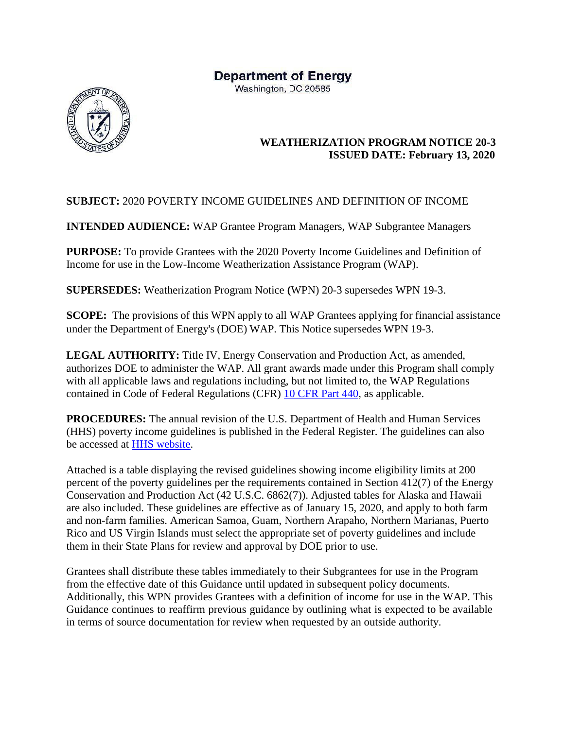# **Department of Energy**

Washington, DC 20585



### **WEATHERIZATION PROGRAM NOTICE 20-3 ISSUED DATE: February 13, 2020**

### **SUBJECT:** 2020 POVERTY INCOME GUIDELINES AND DEFINITION OF INCOME

**INTENDED AUDIENCE:** WAP Grantee Program Managers, WAP Subgrantee Managers

**PURPOSE:** To provide Grantees with the 2020 Poverty Income Guidelines and Definition of Income for use in the Low-Income Weatherization Assistance Program (WAP).

**SUPERSEDES:** Weatherization Program Notice **(**WPN) 20-3 supersedes WPN 19-3.

**SCOPE:** The provisions of this WPN apply to all WAP Grantees applying for financial assistance under the Department of Energy's (DOE) WAP. This Notice supersedes WPN 19-3.

**LEGAL AUTHORITY:** Title IV, Energy Conservation and Production Act, as amended, authorizes DOE to administer the WAP. All grant awards made under this Program shall comply with all applicable laws and regulations including, but not limited to, the WAP Regulations contained in Code of Federal Regulations (CFR) [10 CFR Part 440,](https://www.ecfr.gov/cgi-bin/text-idx?tpl=/ecfrbrowse/Title10/10cfr440_main_02.tpl) as applicable.

**PROCEDURES:** The annual revision of the U.S. Department of Health and Human Services (HHS) poverty income guidelines is published in the Federal Register. The guidelines can also be accessed at [HHS website.](https://aspe.hhs.gov/poverty-guidelines)

Attached is a table displaying the revised guidelines showing income eligibility limits at 200 percent of the poverty guidelines per the requirements contained in Section 412(7) of the Energy Conservation and Production Act (42 U.S.C. 6862(7)). Adjusted tables for Alaska and Hawaii are also included. These guidelines are effective as of January 15, 2020, and apply to both farm and non-farm families. American Samoa, Guam, Northern Arapaho, Northern Marianas, Puerto Rico and US Virgin Islands must select the appropriate set of poverty guidelines and include them in their State Plans for review and approval by DOE prior to use.

Grantees shall distribute these tables immediately to their Subgrantees for use in the Program from the effective date of this Guidance until updated in subsequent policy documents. Additionally, this WPN provides Grantees with a definition of income for use in the WAP. This Guidance continues to reaffirm previous guidance by outlining what is expected to be available in terms of source documentation for review when requested by an outside authority.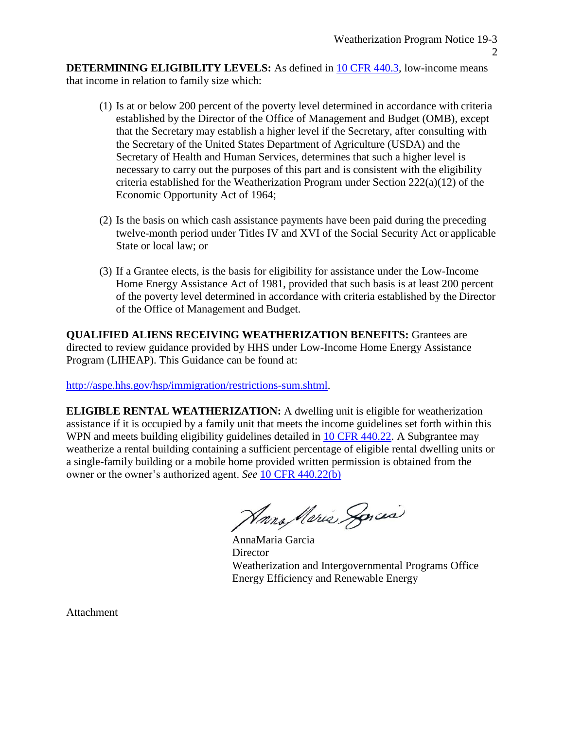**DETERMINING ELIGIBILITY LEVELS:** As defined in [10 CFR 440.3, l](https://www.ecfr.gov/cgi-bin/text-idx?SID=a47d455fd2330cc1c1580d171fb8d831&mc=true&node=se10.3.440_13&rgn=div8)ow-income means that income in relation to family size which:

- (1) Is at or below 200 percent of the poverty level determined in accordance with criteria established by the Director of the Office of Management and Budget (OMB), except that the Secretary may establish a higher level if the Secretary, after consulting with the Secretary of the United States Department of Agriculture (USDA) and the Secretary of Health and Human Services, determines that such a higher level is necessary to carry out the purposes of this part and is consistent with the eligibility criteria established for the Weatherization Program under Section 222(a)(12) of the Economic Opportunity Act of 1964;
- (2) Is the basis on which cash assistance payments have been paid during the preceding twelve-month period under Titles IV and XVI of the Social Security Act or applicable State or local law; or
- (3) If a Grantee elects, is the basis for eligibility for assistance under the Low-Income Home Energy Assistance Act of 1981, provided that such basis is at least 200 percent of the poverty level determined in accordance with criteria established by the Director of the Office of Management and Budget.

**QUALIFIED ALIENS RECEIVING WEATHERIZATION BENEFITS:** Grantees are directed to review guidance provided by HHS under Low-Income Home Energy Assistance Program (LIHEAP). This Guidance can be found at:

[http://aspe.hhs.gov/hsp/immigration/restrictions-sum.shtml.](http://aspe.hhs.gov/hsp/immigration/restrictions-sum.shtml)

**ELIGIBLE RENTAL WEATHERIZATION:** A dwelling unit is eligible for weatherization assistance if it is occupied by a family unit that meets the income guidelines set forth within this WPN and meets building eligibility guidelines detailed in [10 CFR 440.22.](https://www.ecfr.gov/cgi-bin/text-idx?SID=04c3ed3d9a2917cbf8fc0e7e86c3743a&mc=true&node=se10.3.440_122&rgn=div8) A Subgrantee may weatherize a rental building containing a sufficient percentage of eligible rental dwelling units or a single-family building or a mobile home provided written permission is obtained from the owner or the owner's authorized agent. *See* [10 CFR 440.22\(b\)](https://www.ecfr.gov/cgi-bin/text-idx?SID=04c3ed3d9a2917cbf8fc0e7e86c3743a&mc=true&node=se10.3.440_122&rgn=div8)

Harra Meria Sorcia

AnnaMaria Garcia **Director** Weatherization and Intergovernmental Programs Office Energy Efficiency and Renewable Energy

Attachment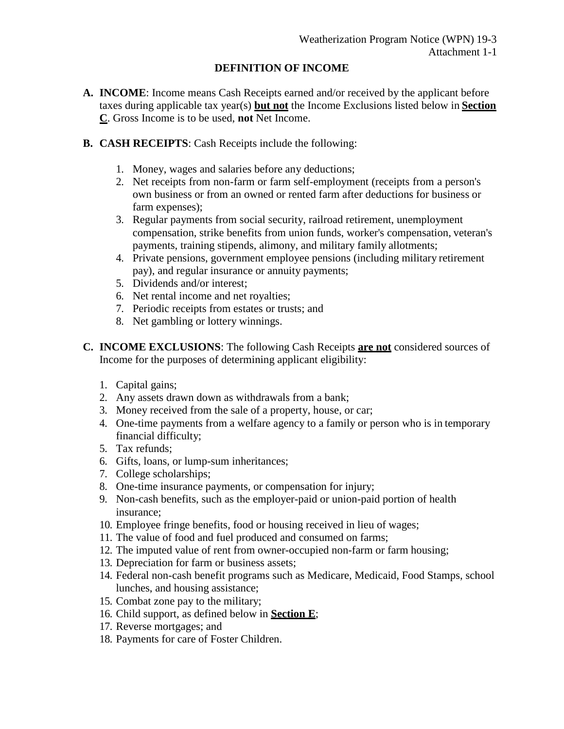#### **DEFINITION OF INCOME**

- **A. INCOME**: Income means Cash Receipts earned and/or received by the applicant before taxes during applicable tax year(s) **but not** the Income Exclusions listed below in **Section C**. Gross Income is to be used, **not** Net Income.
- **B. CASH RECEIPTS**: Cash Receipts include the following:
	- 1. Money, wages and salaries before any deductions;
	- 2. Net receipts from non-farm or farm self-employment (receipts from a person's own business or from an owned or rented farm after deductions for business or farm expenses);
	- 3. Regular payments from social security, railroad retirement, unemployment compensation, strike benefits from union funds, worker's compensation, veteran's payments, training stipends, alimony, and military family allotments;
	- 4. Private pensions, government employee pensions (including military retirement pay), and regular insurance or annuity payments;
	- 5. Dividends and/or interest;
	- 6. Net rental income and net royalties;
	- 7. Periodic receipts from estates or trusts; and
	- 8. Net gambling or lottery winnings.
- **C. INCOME EXCLUSIONS**: The following Cash Receipts **are not** considered sources of Income for the purposes of determining applicant eligibility:
	- 1. Capital gains;
	- 2. Any assets drawn down as withdrawals from a bank;
	- 3. Money received from the sale of a property, house, or car;
	- 4. One-time payments from a welfare agency to a family or person who is in temporary financial difficulty;
	- 5. Tax refunds;
	- 6. Gifts, loans, or lump-sum inheritances;
	- 7. College scholarships;
	- 8. One-time insurance payments, or compensation for injury;
	- 9. Non-cash benefits, such as the employer-paid or union-paid portion of health insurance;
	- 10. Employee fringe benefits, food or housing received in lieu of wages;
	- 11. The value of food and fuel produced and consumed on farms;
	- 12. The imputed value of rent from owner-occupied non-farm or farm housing;
	- 13. Depreciation for farm or business assets;
	- 14. Federal non-cash benefit programs such as Medicare, Medicaid, Food Stamps, school lunches, and housing assistance;
	- 15. Combat zone pay to the military;
	- 16. Child support, as defined below in **Section E**;
	- 17. Reverse mortgages; and
	- 18. Payments for care of Foster Children.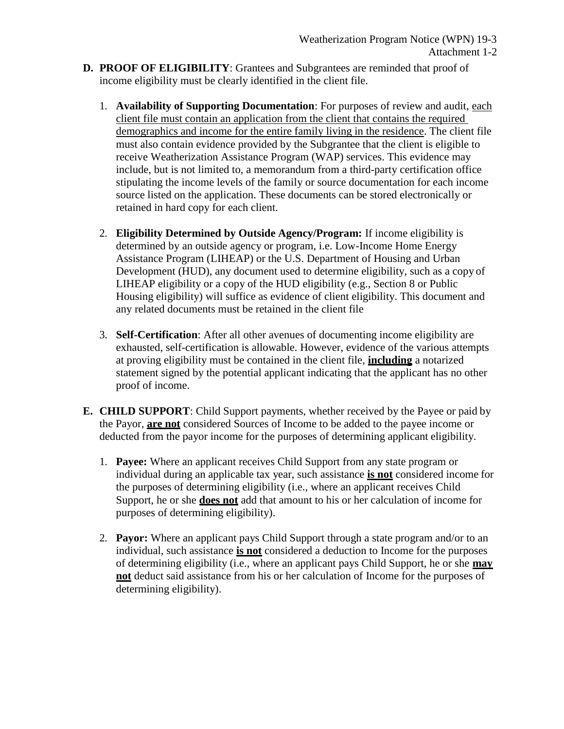- **D. PROOF OF ELIGIBILITY**: Grantees and Subgrantees are reminded that proof of income eligibility must be clearly identified in the client file.
	- 1. **Availability of Supporting Documentation**: For purposes of review and audit, each client file must contain an application from the client that contains the required demographics and income for the entire family living in the residence. The client file must also contain evidence provided by the Subgrantee that the client is eligible to receive Weatherization Assistance Program (WAP) services. This evidence may include, but is not limited to, a memorandum from a third-party certification office stipulating the income levels of the family or source documentation for each income source listed on the application. These documents can be stored electronically or retained in hard copy for each client.
	- 2. **Eligibility Determined by Outside Agency/Program:** If income eligibility is determined by an outside agency or program, i.e. Low-Income Home Energy Assistance Program (LIHEAP) or the U.S. Department of Housing and Urban Development (HUD), any document used to determine eligibility, such as a copy of LIHEAP eligibility or a copy of the HUD eligibility (e.g., Section 8 or Public Housing eligibility) will suffice as evidence of client eligibility. This document and any related documents must be retained in the client file
	- 3. **Self-Certification**: After all other avenues of documenting income eligibility are exhausted, self-certification is allowable. However, evidence of the various attempts at proving eligibility must be contained in the client file, **including** a notarized statement signed by the potential applicant indicating that the applicant has no other proof of income.
- **E. CHILD SUPPORT**: Child Support payments, whether received by the Payee or paid by the Payor, **are not** considered Sources of Income to be added to the payee income or deducted from the payor income for the purposes of determining applicant eligibility.
	- 1. **Payee:** Where an applicant receives Child Support from any state program or individual during an applicable tax year, such assistance **is not** considered income for the purposes of determining eligibility (i.e., where an applicant receives Child Support, he or she **does not** add that amount to his or her calculation of income for purposes of determining eligibility).
	- 2. **Payor:** Where an applicant pays Child Support through a state program and/or to an individual, such assistance **is not** considered a deduction to Income for the purposes of determining eligibility (i.e., where an applicant pays Child Support, he or she **may not** deduct said assistance from his or her calculation of Income for the purposes of determining eligibility).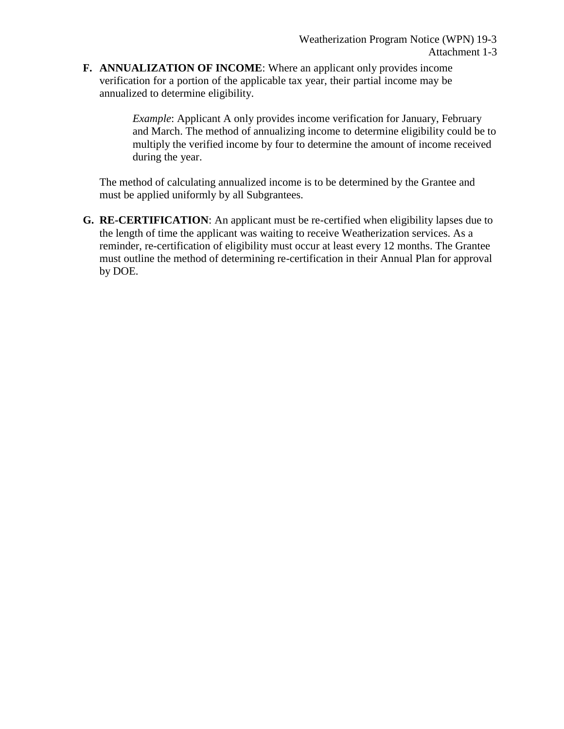**F. ANNUALIZATION OF INCOME**: Where an applicant only provides income verification for a portion of the applicable tax year, their partial income may be annualized to determine eligibility.

> *Example*: Applicant A only provides income verification for January, February and March. The method of annualizing income to determine eligibility could be to multiply the verified income by four to determine the amount of income received during the year.

The method of calculating annualized income is to be determined by the Grantee and must be applied uniformly by all Subgrantees.

**G. RE-CERTIFICATION**: An applicant must be re-certified when eligibility lapses due to the length of time the applicant was waiting to receive Weatherization services. As a reminder, re-certification of eligibility must occur at least every 12 months. The Grantee must outline the method of determining re-certification in their Annual Plan for approval by DOE.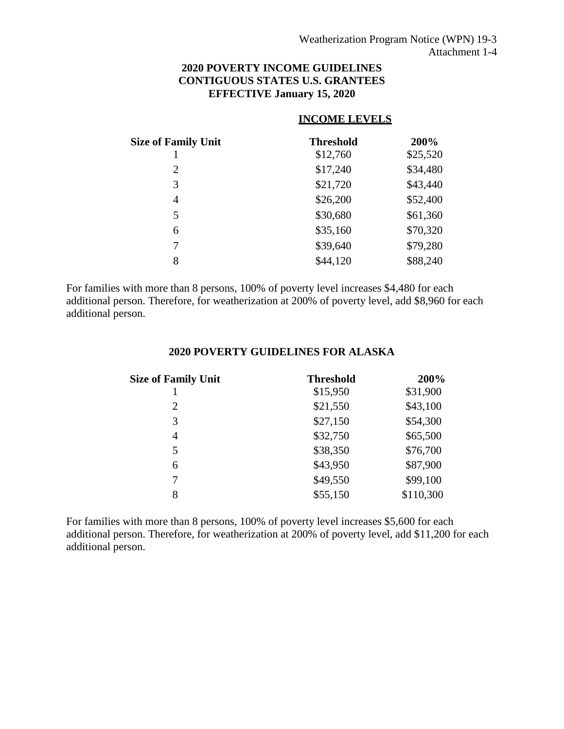### **2020 POVERTY INCOME GUIDELINES CONTIGUOUS STATES U.S. GRANTEES EFFECTIVE January 15, 2020**

#### **INCOME LEVELS**

| <b>Size of Family Unit</b> | <b>Threshold</b> | 200%     |
|----------------------------|------------------|----------|
|                            | \$12,760         | \$25,520 |
| 2                          | \$17,240         | \$34,480 |
| 3                          | \$21,720         | \$43,440 |
| 4                          | \$26,200         | \$52,400 |
| 5                          | \$30,680         | \$61,360 |
| 6                          | \$35,160         | \$70,320 |
| 7                          | \$39,640         | \$79,280 |
| 8                          | \$44,120         | \$88,240 |

For families with more than 8 persons, 100% of poverty level increases \$4,480 for each additional person. Therefore, for weatherization at 200% of poverty level, add \$8,960 for each additional person.

#### **2020 POVERTY GUIDELINES FOR ALASKA**

| <b>Size of Family Unit</b> | <b>Threshold</b> | 200%      |
|----------------------------|------------------|-----------|
|                            | \$15,950         | \$31,900  |
| $\overline{2}$             | \$21,550         | \$43,100  |
| 3                          | \$27,150         | \$54,300  |
| 4                          | \$32,750         | \$65,500  |
| 5                          | \$38,350         | \$76,700  |
| 6                          | \$43,950         | \$87,900  |
| 7                          | \$49,550         | \$99,100  |
| 8                          | \$55,150         | \$110,300 |

For families with more than 8 persons, 100% of poverty level increases \$5,600 for each additional person. Therefore, for weatherization at 200% of poverty level, add \$11,200 for each additional person.